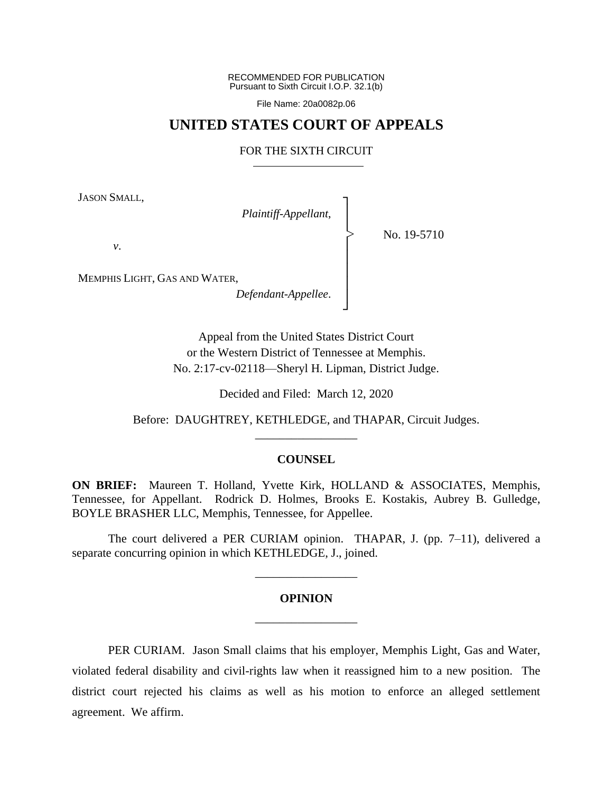RECOMMENDED FOR PUBLICATION Pursuant to Sixth Circuit I.O.P. 32.1(b)

File Name: 20a0082p.06

### **UNITED STATES COURT OF APPEALS**

### FOR THE SIXTH CIRCUIT

┐ │ │ │ │ │ │ │ ┘

|<br>|<br>|

JASON SMALL,

*Plaintiff-Appellant*,

No. 19-5710

*v*.

MEMPHIS LIGHT, GAS AND WATER,

*Defendant-Appellee*.

Appeal from the United States District Court or the Western District of Tennessee at Memphis. No. 2:17-cv-02118—Sheryl H. Lipman, District Judge.

Decided and Filed: March 12, 2020

Before: DAUGHTREY, KETHLEDGE, and THAPAR, Circuit Judges. \_\_\_\_\_\_\_\_\_\_\_\_\_\_\_\_\_

#### **COUNSEL**

**ON BRIEF:** Maureen T. Holland, Yvette Kirk, HOLLAND & ASSOCIATES, Memphis, Tennessee, for Appellant. Rodrick D. Holmes, Brooks E. Kostakis, Aubrey B. Gulledge, BOYLE BRASHER LLC, Memphis, Tennessee, for Appellee.

The court delivered a PER CURIAM opinion. THAPAR, J. (pp. 7–11), delivered a separate concurring opinion in which KETHLEDGE, J., joined.

# **OPINION** \_\_\_\_\_\_\_\_\_\_\_\_\_\_\_\_\_

\_\_\_\_\_\_\_\_\_\_\_\_\_\_\_\_\_

PER CURIAM. Jason Small claims that his employer, Memphis Light, Gas and Water, violated federal disability and civil-rights law when it reassigned him to a new position. The district court rejected his claims as well as his motion to enforce an alleged settlement agreement. We affirm.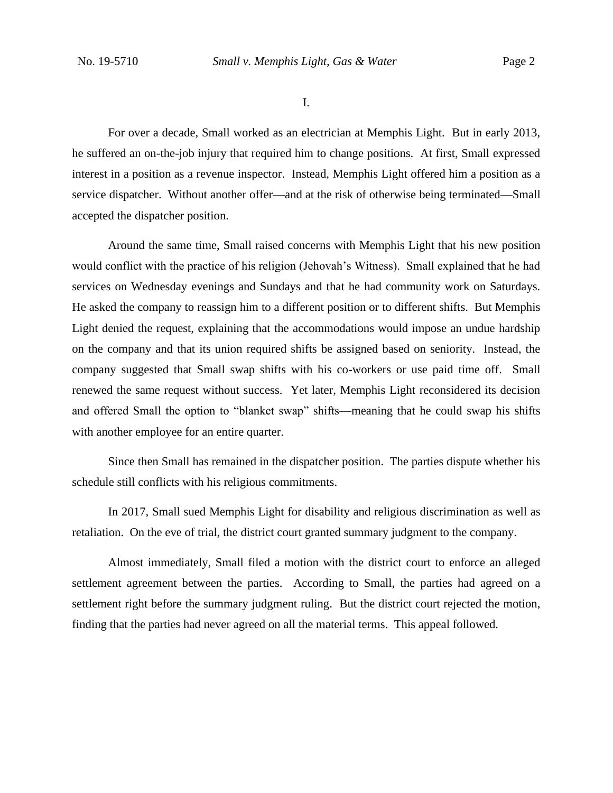I.

For over a decade, Small worked as an electrician at Memphis Light. But in early 2013, he suffered an on-the-job injury that required him to change positions. At first, Small expressed interest in a position as a revenue inspector. Instead, Memphis Light offered him a position as a service dispatcher. Without another offer—and at the risk of otherwise being terminated—Small accepted the dispatcher position.

Around the same time, Small raised concerns with Memphis Light that his new position would conflict with the practice of his religion (Jehovah's Witness). Small explained that he had services on Wednesday evenings and Sundays and that he had community work on Saturdays. He asked the company to reassign him to a different position or to different shifts. But Memphis Light denied the request, explaining that the accommodations would impose an undue hardship on the company and that its union required shifts be assigned based on seniority. Instead, the company suggested that Small swap shifts with his co-workers or use paid time off. Small renewed the same request without success. Yet later, Memphis Light reconsidered its decision and offered Small the option to "blanket swap" shifts—meaning that he could swap his shifts with another employee for an entire quarter.

Since then Small has remained in the dispatcher position. The parties dispute whether his schedule still conflicts with his religious commitments.

In 2017, Small sued Memphis Light for disability and religious discrimination as well as retaliation. On the eve of trial, the district court granted summary judgment to the company.

Almost immediately, Small filed a motion with the district court to enforce an alleged settlement agreement between the parties. According to Small, the parties had agreed on a settlement right before the summary judgment ruling. But the district court rejected the motion, finding that the parties had never agreed on all the material terms. This appeal followed.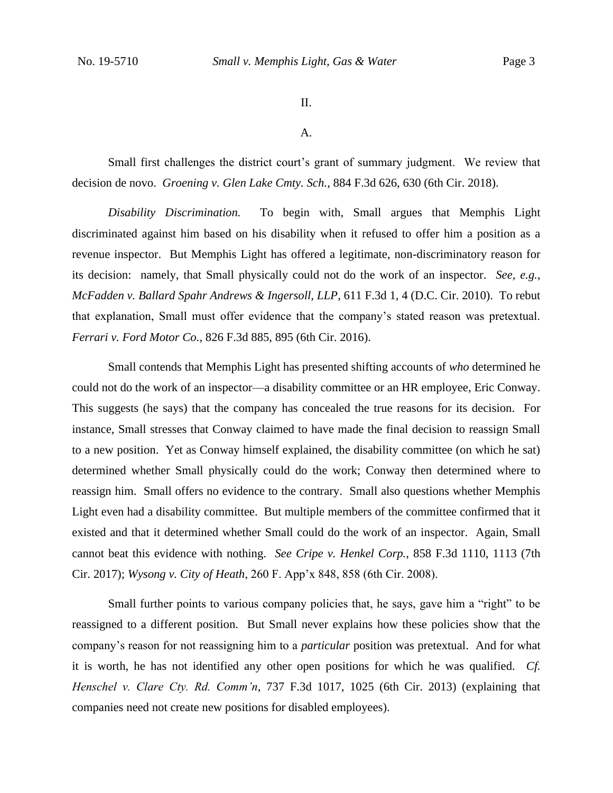II.

A.

Small first challenges the district court's grant of summary judgment. We review that decision de novo. *Groening v. Glen Lake Cmty. Sch.*, 884 F.3d 626, 630 (6th Cir. 2018).

*Disability Discrimination.* To begin with, Small argues that Memphis Light discriminated against him based on his disability when it refused to offer him a position as a revenue inspector. But Memphis Light has offered a legitimate, non-discriminatory reason for its decision: namely, that Small physically could not do the work of an inspector. *See, e.g.*, *McFadden v. Ballard Spahr Andrews & Ingersoll, LLP*, 611 F.3d 1, 4 (D.C. Cir. 2010). To rebut that explanation, Small must offer evidence that the company's stated reason was pretextual. *Ferrari v. Ford Motor Co.*, 826 F.3d 885, 895 (6th Cir. 2016).

Small contends that Memphis Light has presented shifting accounts of *who* determined he could not do the work of an inspector—a disability committee or an HR employee, Eric Conway. This suggests (he says) that the company has concealed the true reasons for its decision. For instance, Small stresses that Conway claimed to have made the final decision to reassign Small to a new position. Yet as Conway himself explained, the disability committee (on which he sat) determined whether Small physically could do the work; Conway then determined where to reassign him. Small offers no evidence to the contrary. Small also questions whether Memphis Light even had a disability committee. But multiple members of the committee confirmed that it existed and that it determined whether Small could do the work of an inspector. Again, Small cannot beat this evidence with nothing. *See Cripe v. Henkel Corp.*, 858 F.3d 1110, 1113 (7th Cir. 2017); *Wysong v. City of Heath*, 260 F. App'x 848, 858 (6th Cir. 2008).

Small further points to various company policies that, he says, gave him a "right" to be reassigned to a different position. But Small never explains how these policies show that the company's reason for not reassigning him to a *particular* position was pretextual. And for what it is worth, he has not identified any other open positions for which he was qualified. *Cf. Henschel v. Clare Cty. Rd. Comm'n*, 737 F.3d 1017, 1025 (6th Cir. 2013) (explaining that companies need not create new positions for disabled employees).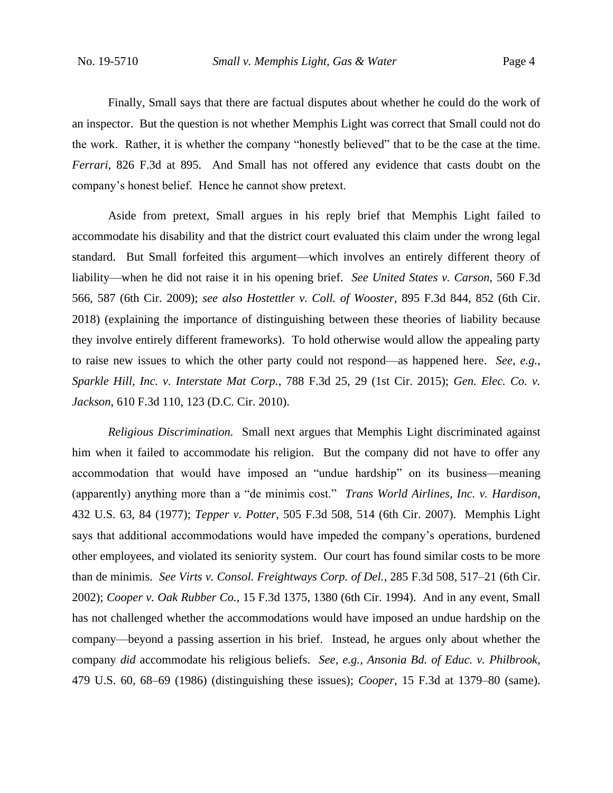Finally, Small says that there are factual disputes about whether he could do the work of an inspector. But the question is not whether Memphis Light was correct that Small could not do the work. Rather, it is whether the company "honestly believed" that to be the case at the time. *Ferrari*, 826 F.3d at 895. And Small has not offered any evidence that casts doubt on the company's honest belief. Hence he cannot show pretext.

Aside from pretext, Small argues in his reply brief that Memphis Light failed to accommodate his disability and that the district court evaluated this claim under the wrong legal standard. But Small forfeited this argument—which involves an entirely different theory of liability—when he did not raise it in his opening brief. *See United States v. Carson*, 560 F.3d 566, 587 (6th Cir. 2009); *see also Hostettler v. Coll. of Wooster*, 895 F.3d 844, 852 (6th Cir. 2018) (explaining the importance of distinguishing between these theories of liability because they involve entirely different frameworks). To hold otherwise would allow the appealing party to raise new issues to which the other party could not respond—as happened here. *See, e.g.*, *Sparkle Hill, Inc. v. Interstate Mat Corp.*, 788 F.3d 25, 29 (1st Cir. 2015); *Gen. Elec. Co. v. Jackson*, 610 F.3d 110, 123 (D.C. Cir. 2010).

*Religious Discrimination.* Small next argues that Memphis Light discriminated against him when it failed to accommodate his religion. But the company did not have to offer any accommodation that would have imposed an "undue hardship" on its business—meaning (apparently) anything more than a "de minimis cost." *Trans World Airlines, Inc. v. Hardison*, 432 U.S. 63, 84 (1977); *Tepper v. Potter*, 505 F.3d 508, 514 (6th Cir. 2007). Memphis Light says that additional accommodations would have impeded the company's operations, burdened other employees, and violated its seniority system. Our court has found similar costs to be more than de minimis. *See Virts v. Consol. Freightways Corp. of Del.*, 285 F.3d 508, 517–21 (6th Cir. 2002); *Cooper v. Oak Rubber Co.*, 15 F.3d 1375, 1380 (6th Cir. 1994). And in any event, Small has not challenged whether the accommodations would have imposed an undue hardship on the company—beyond a passing assertion in his brief. Instead, he argues only about whether the company *did* accommodate his religious beliefs. *See, e.g.*, *Ansonia Bd. of Educ. v. Philbrook*, 479 U.S. 60, 68–69 (1986) (distinguishing these issues); *Cooper*, 15 F.3d at 1379–80 (same).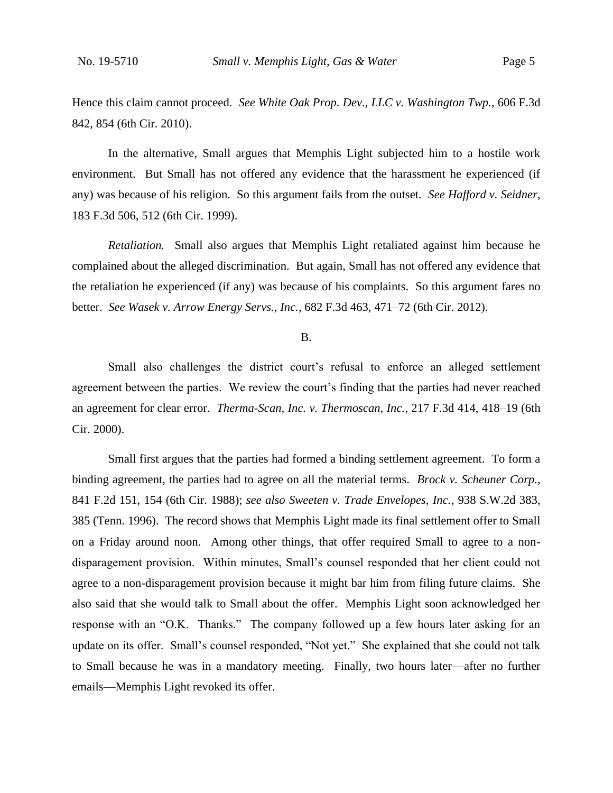Hence this claim cannot proceed. *See White Oak Prop. Dev., LLC v. Washington Twp.*, 606 F.3d 842, 854 (6th Cir. 2010).

In the alternative, Small argues that Memphis Light subjected him to a hostile work environment. But Small has not offered any evidence that the harassment he experienced (if any) was because of his religion. So this argument fails from the outset. *See Hafford v. Seidner*, 183 F.3d 506, 512 (6th Cir. 1999).

*Retaliation.* Small also argues that Memphis Light retaliated against him because he complained about the alleged discrimination. But again, Small has not offered any evidence that the retaliation he experienced (if any) was because of his complaints. So this argument fares no better. *See Wasek v. Arrow Energy Servs., Inc.*, 682 F.3d 463, 471–72 (6th Cir. 2012).

B.

Small also challenges the district court's refusal to enforce an alleged settlement agreement between the parties. We review the court's finding that the parties had never reached an agreement for clear error. *Therma-Scan, Inc. v. Thermoscan, Inc.*, 217 F.3d 414, 418–19 (6th Cir. 2000).

Small first argues that the parties had formed a binding settlement agreement. To form a binding agreement, the parties had to agree on all the material terms. *Brock v. Scheuner Corp.*, 841 F.2d 151, 154 (6th Cir. 1988); *see also Sweeten v. Trade Envelopes, Inc.*, 938 S.W.2d 383, 385 (Tenn. 1996). The record shows that Memphis Light made its final settlement offer to Small on a Friday around noon. Among other things, that offer required Small to agree to a nondisparagement provision. Within minutes, Small's counsel responded that her client could not agree to a non-disparagement provision because it might bar him from filing future claims. She also said that she would talk to Small about the offer. Memphis Light soon acknowledged her response with an "O.K. Thanks." The company followed up a few hours later asking for an update on its offer. Small's counsel responded, "Not yet." She explained that she could not talk to Small because he was in a mandatory meeting. Finally, two hours later—after no further emails—Memphis Light revoked its offer.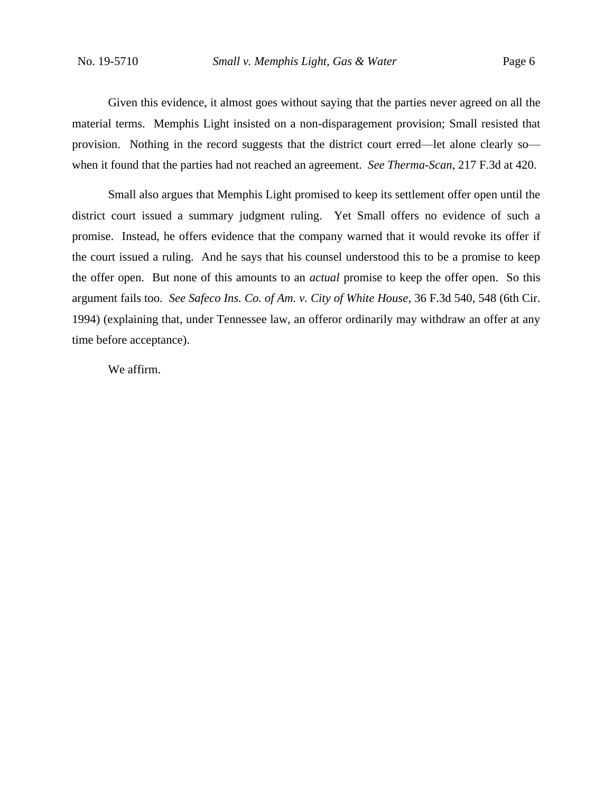Given this evidence, it almost goes without saying that the parties never agreed on all the material terms. Memphis Light insisted on a non-disparagement provision; Small resisted that provision. Nothing in the record suggests that the district court erred—let alone clearly so when it found that the parties had not reached an agreement. *See Therma-Scan*, 217 F.3d at 420.

Small also argues that Memphis Light promised to keep its settlement offer open until the district court issued a summary judgment ruling. Yet Small offers no evidence of such a promise. Instead, he offers evidence that the company warned that it would revoke its offer if the court issued a ruling. And he says that his counsel understood this to be a promise to keep the offer open. But none of this amounts to an *actual* promise to keep the offer open. So this argument fails too. *See Safeco Ins. Co. of Am. v. City of White House*, 36 F.3d 540, 548 (6th Cir. 1994) (explaining that, under Tennessee law, an offeror ordinarily may withdraw an offer at any time before acceptance).

We affirm.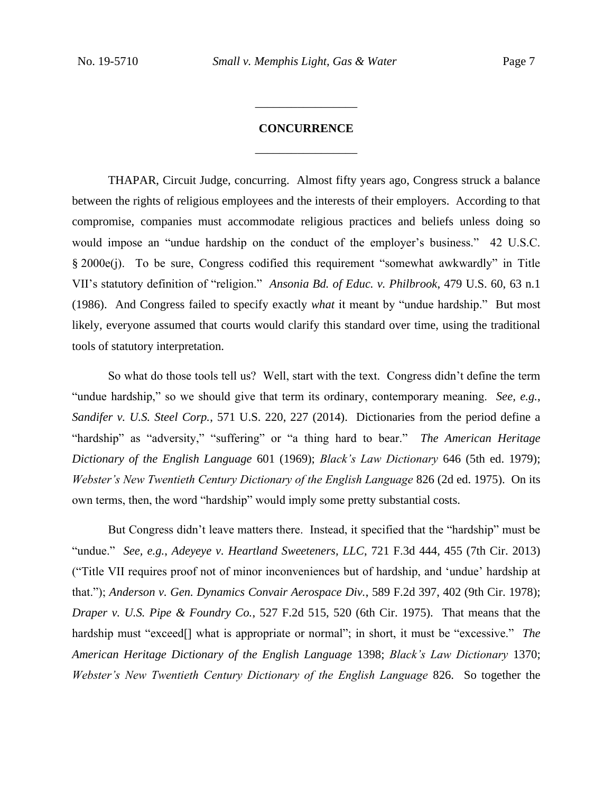## **CONCURRENCE** \_\_\_\_\_\_\_\_\_\_\_\_\_\_\_\_\_

\_\_\_\_\_\_\_\_\_\_\_\_\_\_\_\_\_

THAPAR, Circuit Judge, concurring. Almost fifty years ago, Congress struck a balance between the rights of religious employees and the interests of their employers. According to that compromise, companies must accommodate religious practices and beliefs unless doing so would impose an "undue hardship on the conduct of the employer's business." 42 U.S.C. § 2000e(j). To be sure, Congress codified this requirement "somewhat awkwardly" in Title VII's statutory definition of "religion." *Ansonia Bd. of Educ. v. Philbrook*, 479 U.S. 60, 63 n.1 (1986). And Congress failed to specify exactly *what* it meant by "undue hardship." But most likely, everyone assumed that courts would clarify this standard over time, using the traditional tools of statutory interpretation.

So what do those tools tell us? Well, start with the text. Congress didn't define the term "undue hardship," so we should give that term its ordinary, contemporary meaning. *See, e.g.*, *Sandifer v. U.S. Steel Corp.*, 571 U.S. 220, 227 (2014). Dictionaries from the period define a "hardship" as "adversity," "suffering" or "a thing hard to bear." *The American Heritage Dictionary of the English Language* 601 (1969); *Black's Law Dictionary* 646 (5th ed. 1979); *Webster's New Twentieth Century Dictionary of the English Language* 826 (2d ed. 1975). On its own terms, then, the word "hardship" would imply some pretty substantial costs.

But Congress didn't leave matters there. Instead, it specified that the "hardship" must be "undue." *See, e.g.*, *Adeyeye v. Heartland Sweeteners, LLC*, 721 F.3d 444, 455 (7th Cir. 2013) ("Title VII requires proof not of minor inconveniences but of hardship, and 'undue' hardship at that."); *Anderson v. Gen. Dynamics Convair Aerospace Div.*, 589 F.2d 397, 402 (9th Cir. 1978); *Draper v. U.S. Pipe & Foundry Co.*, 527 F.2d 515, 520 (6th Cir. 1975). That means that the hardship must "exceed[] what is appropriate or normal"; in short, it must be "excessive." *The American Heritage Dictionary of the English Language* 1398; *Black's Law Dictionary* 1370; *Webster's New Twentieth Century Dictionary of the English Language* 826. So together the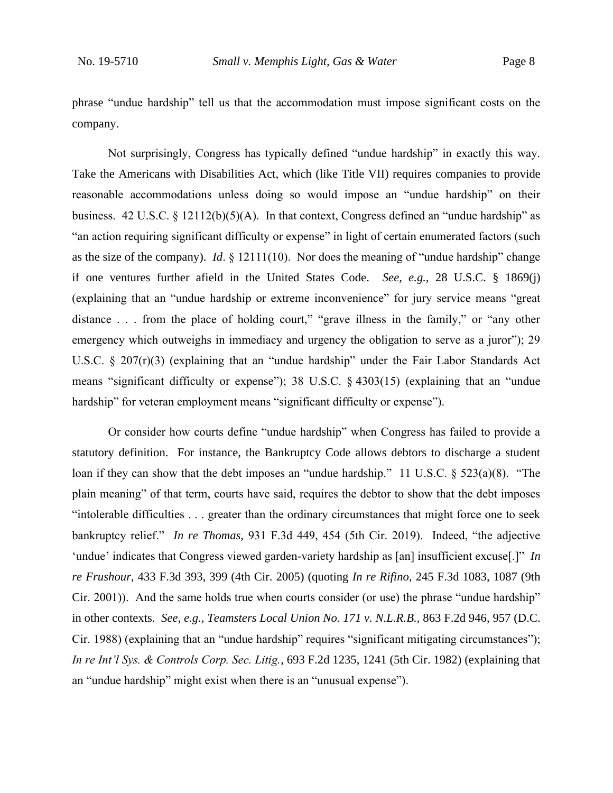phrase "undue hardship" tell us that the accommodation must impose significant costs on the company.

Not surprisingly, Congress has typically defined "undue hardship" in exactly this way. Take the Americans with Disabilities Act, which (like Title VII) requires companies to provide reasonable accommodations unless doing so would impose an "undue hardship" on their business. 42 U.S.C. § 12112(b)(5)(A). In that context, Congress defined an "undue hardship" as "an action requiring significant difficulty or expense" in light of certain enumerated factors (such as the size of the company). *Id*. § 12111(10). Nor does the meaning of "undue hardship" change if one ventures further afield in the United States Code. *See, e.g.*, 28 U.S.C. § 1869(j) (explaining that an "undue hardship or extreme inconvenience" for jury service means "great distance . . . from the place of holding court," "grave illness in the family," or "any other emergency which outweighs in immediacy and urgency the obligation to serve as a juror"); 29 U.S.C. § 207(r)(3) (explaining that an "undue hardship" under the Fair Labor Standards Act means "significant difficulty or expense"); 38 U.S.C. § 4303(15) (explaining that an "undue hardship" for veteran employment means "significant difficulty or expense").

Or consider how courts define "undue hardship" when Congress has failed to provide a statutory definition. For instance, the Bankruptcy Code allows debtors to discharge a student loan if they can show that the debt imposes an "undue hardship." 11 U.S.C. § 523(a)(8). "The plain meaning" of that term, courts have said, requires the debtor to show that the debt imposes "intolerable difficulties . . . greater than the ordinary circumstances that might force one to seek bankruptcy relief." *In re Thomas*, 931 F.3d 449, 454 (5th Cir. 2019). Indeed, "the adjective 'undue' indicates that Congress viewed garden-variety hardship as [an] insufficient excuse[.]" *In re Frushour*, 433 F.3d 393, 399 (4th Cir. 2005) (quoting *In re Rifino*, 245 F.3d 1083, 1087 (9th Cir. 2001)). And the same holds true when courts consider (or use) the phrase "undue hardship" in other contexts. *See, e.g.*, *Teamsters Local Union No. 171 v. N.L.R.B.*, 863 F.2d 946, 957 (D.C. Cir. 1988) (explaining that an "undue hardship" requires "significant mitigating circumstances"); *In re Int'l Sys. & Controls Corp. Sec. Litig.*, 693 F.2d 1235, 1241 (5th Cir. 1982) (explaining that an "undue hardship" might exist when there is an "unusual expense").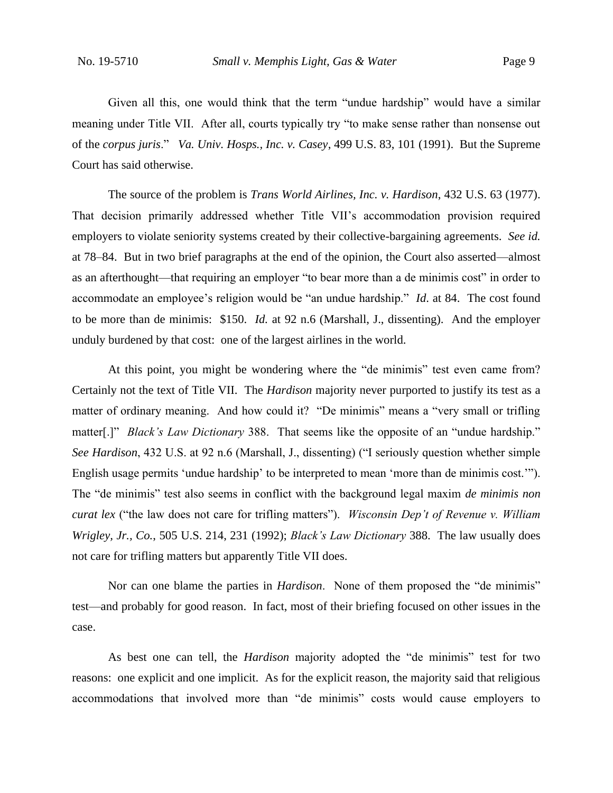Given all this, one would think that the term "undue hardship" would have a similar meaning under Title VII. After all, courts typically try "to make sense rather than nonsense out of the *corpus juris*." *Va. Univ. Hosps., Inc. v. Casey*, 499 U.S. 83, 101 (1991). But the Supreme Court has said otherwise.

The source of the problem is *Trans World Airlines, Inc. v. Hardison*, 432 U.S. 63 (1977). That decision primarily addressed whether Title VII's accommodation provision required employers to violate seniority systems created by their collective-bargaining agreements. *See id.* at 78–84. But in two brief paragraphs at the end of the opinion, the Court also asserted—almost as an afterthought—that requiring an employer "to bear more than a de minimis cost" in order to accommodate an employee's religion would be "an undue hardship." *Id*. at 84. The cost found to be more than de minimis: \$150. *Id.* at 92 n.6 (Marshall, J., dissenting). And the employer unduly burdened by that cost: one of the largest airlines in the world.

At this point, you might be wondering where the "de minimis" test even came from? Certainly not the text of Title VII. The *Hardison* majority never purported to justify its test as a matter of ordinary meaning. And how could it? "De minimis" means a "very small or trifling matter[.]" *Black's Law Dictionary* 388. That seems like the opposite of an "undue hardship." *See Hardison*, 432 U.S. at 92 n.6 (Marshall, J., dissenting) ("I seriously question whether simple English usage permits 'undue hardship' to be interpreted to mean 'more than de minimis cost.'"). The "de minimis" test also seems in conflict with the background legal maxim *de minimis non curat lex* ("the law does not care for trifling matters"). *Wisconsin Dep't of Revenue v. William Wrigley, Jr., Co.*, 505 U.S. 214, 231 (1992); *Black's Law Dictionary* 388. The law usually does not care for trifling matters but apparently Title VII does.

Nor can one blame the parties in *Hardison*. None of them proposed the "de minimis" test—and probably for good reason. In fact, most of their briefing focused on other issues in the case.

As best one can tell, the *Hardison* majority adopted the "de minimis" test for two reasons: one explicit and one implicit. As for the explicit reason, the majority said that religious accommodations that involved more than "de minimis" costs would cause employers to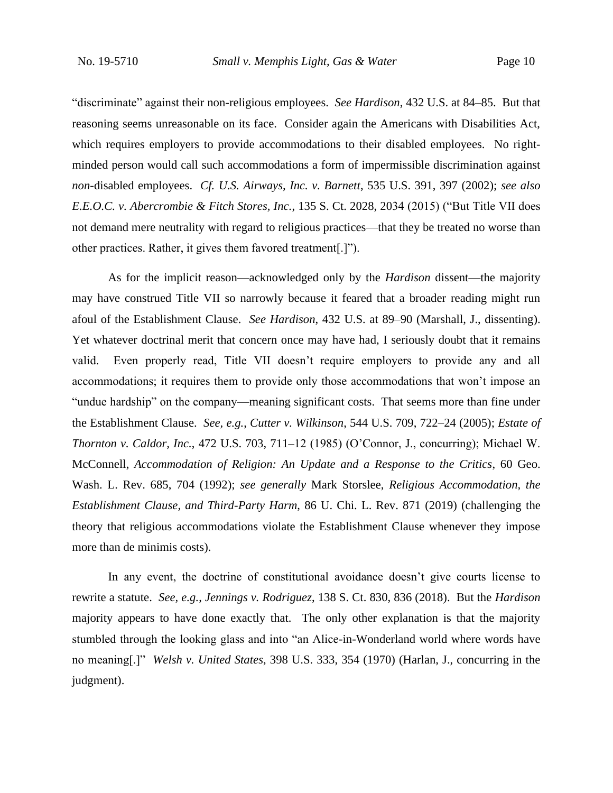"discriminate" against their non-religious employees. *See Hardison*, 432 U.S. at 84–85. But that reasoning seems unreasonable on its face. Consider again the Americans with Disabilities Act, which requires employers to provide accommodations to their disabled employees. No rightminded person would call such accommodations a form of impermissible discrimination against *non*-disabled employees. *Cf. U.S. Airways, Inc. v. Barnett*, 535 U.S. 391, 397 (2002); *see also E.E.O.C. v. Abercrombie & Fitch Stores, Inc.*, 135 S. Ct. 2028, 2034 (2015) ("But Title VII does not demand mere neutrality with regard to religious practices—that they be treated no worse than other practices. Rather, it gives them favored treatment[.]").

As for the implicit reason—acknowledged only by the *Hardison* dissent—the majority may have construed Title VII so narrowly because it feared that a broader reading might run afoul of the Establishment Clause. *See Hardison*, 432 U.S. at 89–90 (Marshall, J., dissenting). Yet whatever doctrinal merit that concern once may have had, I seriously doubt that it remains valid. Even properly read, Title VII doesn't require employers to provide any and all accommodations; it requires them to provide only those accommodations that won't impose an "undue hardship" on the company—meaning significant costs. That seems more than fine under the Establishment Clause. *See, e.g.*, *Cutter v. Wilkinson*, 544 U.S. 709, 722–24 (2005); *Estate of Thornton v. Caldor, Inc.*, 472 U.S. 703, 711–12 (1985) (O'Connor, J., concurring); Michael W. McConnell, *Accommodation of Religion: An Update and a Response to the Critics*, 60 Geo. Wash. L. Rev. 685, 704 (1992); *see generally* Mark Storslee, *Religious Accommodation, the Establishment Clause, and Third-Party Harm*, 86 U. Chi. L. Rev. 871 (2019) (challenging the theory that religious accommodations violate the Establishment Clause whenever they impose more than de minimis costs).

In any event, the doctrine of constitutional avoidance doesn't give courts license to rewrite a statute. *See, e.g.*, *Jennings v. Rodriguez*, 138 S. Ct. 830, 836 (2018). But the *Hardison*  majority appears to have done exactly that. The only other explanation is that the majority stumbled through the looking glass and into "an Alice-in-Wonderland world where words have no meaning[.]" *Welsh v. United States*, 398 U.S. 333, 354 (1970) (Harlan, J., concurring in the judgment).